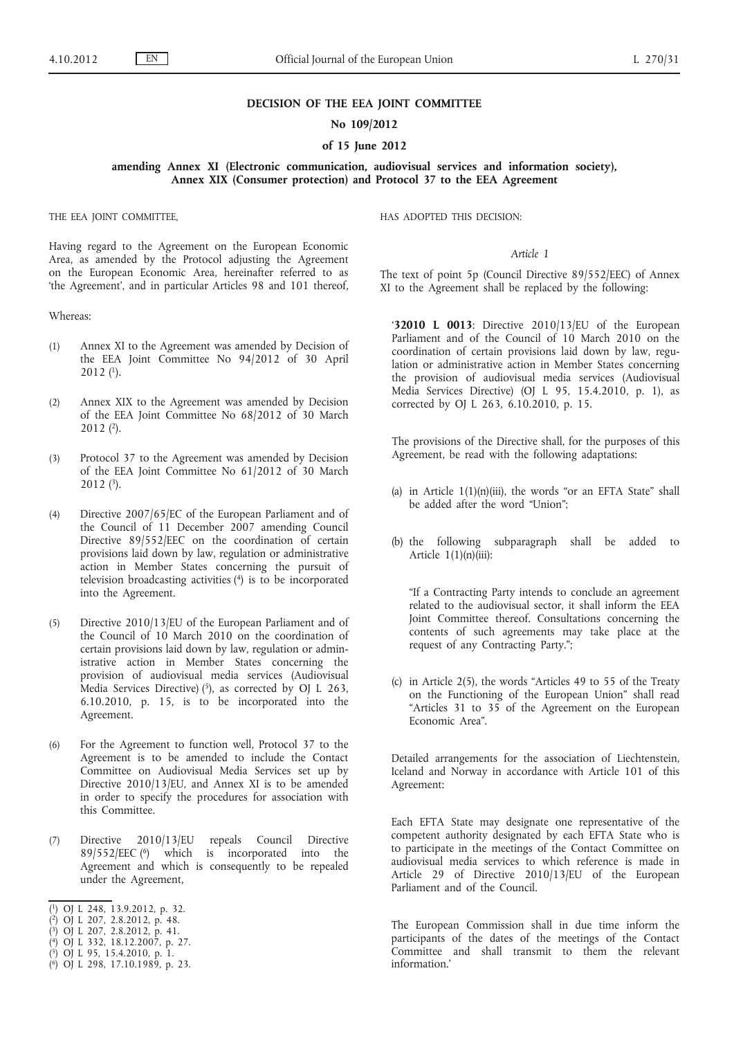### **DECISION OF THE EEA JOINT COMMITTEE**

### **No 109/2012**

## **of 15 June 2012**

**amending Annex XI (Electronic communication, audiovisual services and information society), Annex XIX (Consumer protection) and Protocol 37 to the EEA Agreement**

THE EEA JOINT COMMITTEE,

Having regard to the Agreement on the European Economic Area, as amended by the Protocol adjusting the Agreement on the European Economic Area, hereinafter referred to as 'the Agreement', and in particular Articles 98 and 101 thereof,

Whereas:

- (1) Annex XI to the Agreement was amended by Decision of the EEA Joint Committee No 94/2012 of 30 April  $2012$  (1).
- (2) Annex XIX to the Agreement was amended by Decision of the EEA Joint Committee No 68/2012 of 30 March  $2012$   $(2)$ .
- (3) Protocol 37 to the Agreement was amended by Decision of the EEA Joint Committee No 61/2012 of 30 March 2012 (3).
- (4) Directive 2007/65/EC of the European Parliament and of the Council of 11 December 2007 amending Council Directive 89/552/EEC on the coordination of certain provisions laid down by law, regulation or administrative action in Member States concerning the pursuit of television broadcasting activities (4) is to be incorporated into the Agreement.
- (5) Directive 2010/13/EU of the European Parliament and of the Council of 10 March 2010 on the coordination of certain provisions laid down by law, regulation or administrative action in Member States concerning the provision of audiovisual media services (Audiovisual Media Services Directive)  $(5)$ , as corrected by OJ L 263, 6.10.2010, p. 15, is to be incorporated into the Agreement.
- (6) For the Agreement to function well, Protocol 37 to the Agreement is to be amended to include the Contact Committee on Audiovisual Media Services set up by Directive 2010/13/EU, and Annex XI is to be amended in order to specify the procedures for association with this Committee.
- (7) Directive 2010/13/EU repeals Council Directive 89/552/EEC (6) which is incorporated into the Agreement and which is consequently to be repealed under the Agreement,
- ( 1) OJ L 248, 13.9.2012, p. 32.
- ( 2) OJ L 207, 2.8.2012, p. 48.
- ( 3) OJ L 207, 2.8.2012, p. 41.
- ( 4) OJ L 332, 18.12.2007, p. 27.
- ( 5) OJ L 95, 15.4.2010, p. 1.
- ( 6) OJ L 298, 17.10.1989, p. 23.

HAS ADOPTED THIS DECISION:

#### *Article 1*

The text of point 5p (Council Directive 89/552/EEC) of Annex XI to the Agreement shall be replaced by the following:

'**32010 L 0013**: Directive 2010/13/EU of the European Parliament and of the Council of 10 March 2010 on the coordination of certain provisions laid down by law, regulation or administrative action in Member States concerning the provision of audiovisual media services (Audiovisual Media Services Directive) (OJ L 95, 15.4.2010, p. 1), as corrected by OJ L 263, 6.10.2010, p. 15.

The provisions of the Directive shall, for the purposes of this Agreement, be read with the following adaptations:

- (a) in Article  $1(1)(n)(iii)$ , the words "or an EFTA State" shall be added after the word "Union";
- (b) the following subparagraph shall be added to Article  $1(1)(n)(iii)$ :

"If a Contracting Party intends to conclude an agreement related to the audiovisual sector, it shall inform the EEA Joint Committee thereof. Consultations concerning the contents of such agreements may take place at the request of any Contracting Party.";

(c) in Article 2(5), the words "Articles 49 to 55 of the Treaty on the Functioning of the European Union" shall read "Articles 31 to 35 of the Agreement on the European Economic Area".

Detailed arrangements for the association of Liechtenstein, Iceland and Norway in accordance with Article 101 of this Agreement:

Each EFTA State may designate one representative of the competent authority designated by each EFTA State who is to participate in the meetings of the Contact Committee on audiovisual media services to which reference is made in Article 29 of Directive 2010/13/EU of the European Parliament and of the Council.

The European Commission shall in due time inform the participants of the dates of the meetings of the Contact Committee and shall transmit to them the relevant information.'